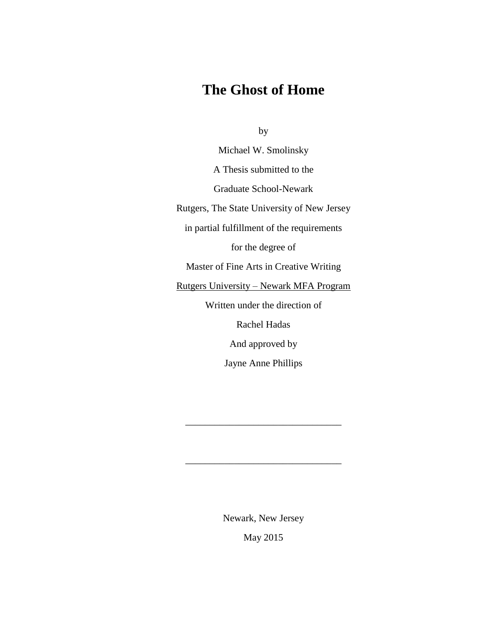# **The Ghost of Home**

by

Michael W. Smolinsky A Thesis submitted to the Graduate School-Newark Rutgers, The State University of New Jersey in partial fulfillment of the requirements for the degree of Master of Fine Arts in Creative Writing Rutgers University – Newark MFA Program Written under the direction of Rachel Hadas And approved by Jayne Anne Phillips

Newark, New Jersey

\_\_\_\_\_\_\_\_\_\_\_\_\_\_\_\_\_\_\_\_\_\_\_\_\_\_\_\_\_\_\_\_

\_\_\_\_\_\_\_\_\_\_\_\_\_\_\_\_\_\_\_\_\_\_\_\_\_\_\_\_\_\_\_\_

May 2015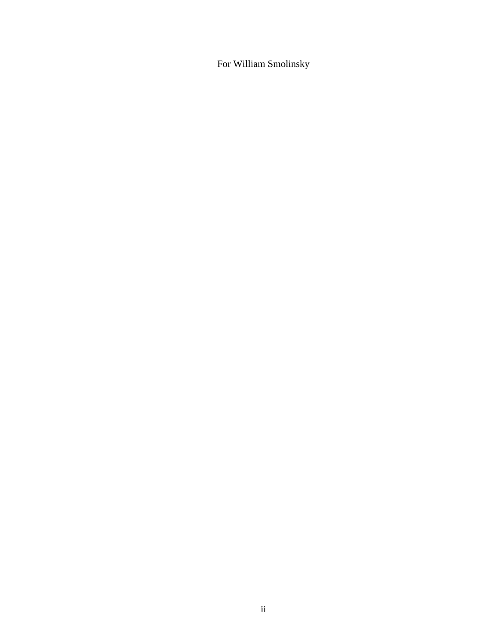For William Smolinsky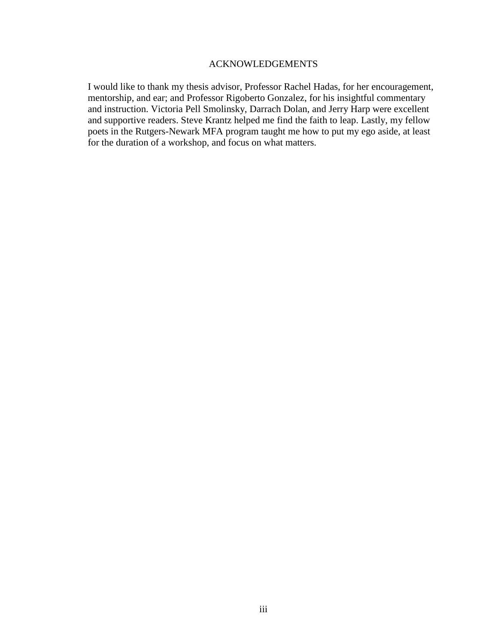#### ACKNOWLEDGEMENTS

I would like to thank my thesis advisor, Professor Rachel Hadas, for her encouragement, mentorship, and ear; and Professor Rigoberto Gonzalez, for his insightful commentary and instruction. Victoria Pell Smolinsky, Darrach Dolan, and Jerry Harp were excellent and supportive readers. Steve Krantz helped me find the faith to leap. Lastly, my fellow poets in the Rutgers-Newark MFA program taught me how to put my ego aside, at least for the duration of a workshop, and focus on what matters.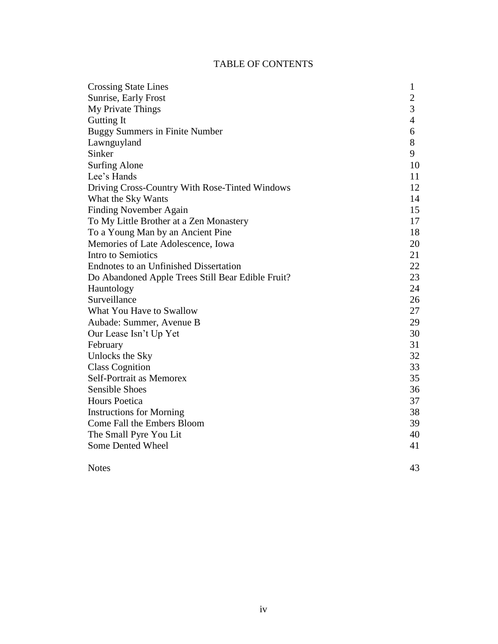# TABLE OF CONTENTS

| <b>Crossing State Lines</b>                       | $\mathbf{1}$     |
|---------------------------------------------------|------------------|
| Sunrise, Early Frost                              | $\boldsymbol{2}$ |
| My Private Things                                 | 3                |
| Gutting It                                        | $\overline{4}$   |
| <b>Buggy Summers in Finite Number</b>             | 6                |
| Lawnguyland                                       | 8                |
| Sinker                                            | 9                |
| <b>Surfing Alone</b>                              | 10               |
| Lee's Hands                                       | 11               |
| Driving Cross-Country With Rose-Tinted Windows    | 12               |
| What the Sky Wants                                | 14               |
| <b>Finding November Again</b>                     | 15               |
| To My Little Brother at a Zen Monastery           | 17               |
| To a Young Man by an Ancient Pine                 | 18               |
| Memories of Late Adolescence, Iowa                | 20               |
| Intro to Semiotics                                | 21               |
| Endnotes to an Unfinished Dissertation            | 22               |
| Do Abandoned Apple Trees Still Bear Edible Fruit? | 23               |
| Hauntology                                        | 24               |
| Surveillance                                      | 26               |
| What You Have to Swallow                          | 27               |
| Aubade: Summer, Avenue B                          | 29               |
| Our Lease Isn't Up Yet                            | 30               |
| February                                          | 31               |
| Unlocks the Sky                                   | 32               |
| <b>Class Cognition</b>                            | 33               |
| Self-Portrait as Memorex                          | 35               |
| <b>Sensible Shoes</b>                             | 36               |
| <b>Hours Poetica</b>                              | 37               |
| <b>Instructions for Morning</b>                   | 38               |
| Come Fall the Embers Bloom                        | 39               |
| The Small Pyre You Lit                            | 40               |
| Some Dented Wheel                                 | 41               |
| <b>Notes</b>                                      | 43               |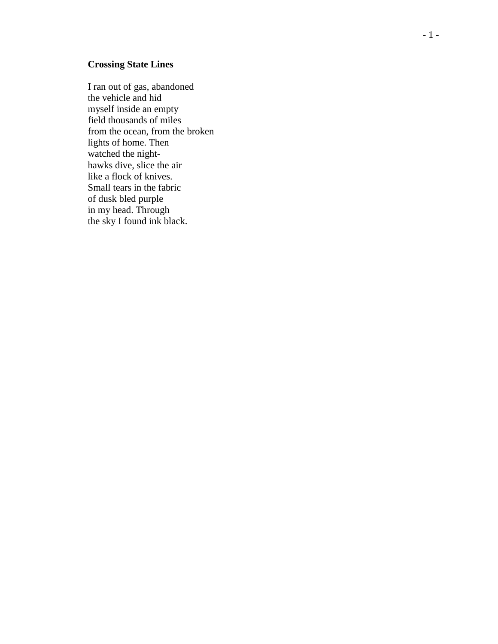## **Crossing State Lines**

I ran out of gas, abandoned the vehicle and hid myself inside an empty field thousands of miles from the ocean, from the broken lights of home. Then watched the night hawks dive, slice the air like a flock of knives. Small tears in the fabric of dusk bled purple in my head. Through the sky I found ink black.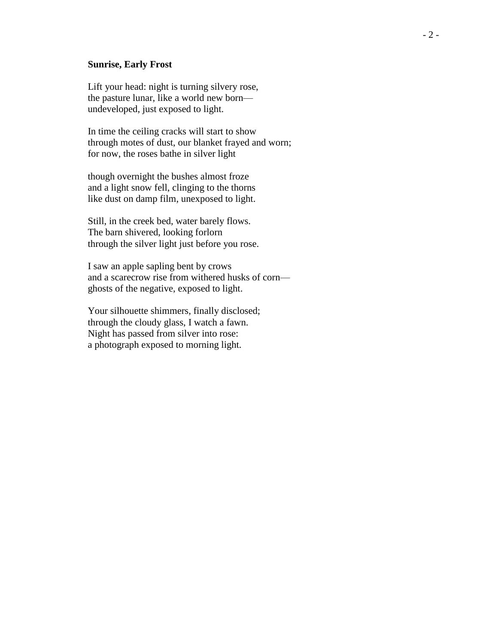#### **Sunrise, Early Frost**

Lift your head: night is turning silvery rose, the pasture lunar, like a world new born undeveloped, just exposed to light.

In time the ceiling cracks will start to show through motes of dust, our blanket frayed and worn; for now, the roses bathe in silver light

though overnight the bushes almost froze and a light snow fell, clinging to the thorns like dust on damp film, unexposed to light.

Still, in the creek bed, water barely flows. The barn shivered, looking forlorn through the silver light just before you rose.

I saw an apple sapling bent by crows and a scarecrow rise from withered husks of corn ghosts of the negative, exposed to light.

Your silhouette shimmers, finally disclosed; through the cloudy glass, I watch a fawn. Night has passed from silver into rose: a photograph exposed to morning light.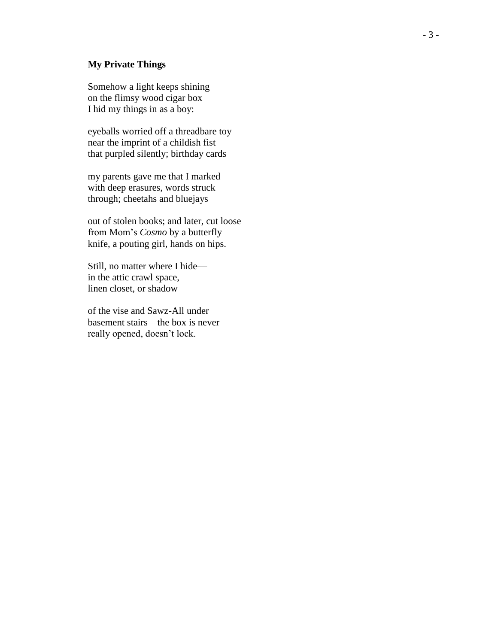#### **My Private Things**

Somehow a light keeps shining on the flimsy wood cigar box I hid my things in as a boy:

eyeballs worried off a threadbare toy near the imprint of a childish fist that purpled silently; birthday cards

my parents gave me that I marked with deep erasures, words struck through; cheetahs and bluejays

out of stolen books; and later, cut loose from Mom's *Cosmo* by a butterfly knife, a pouting girl, hands on hips.

Still, no matter where I hide in the attic crawl space, linen closet, or shadow

of the vise and Sawz -All under basement stairs —the box is never really opened, doesn't lock.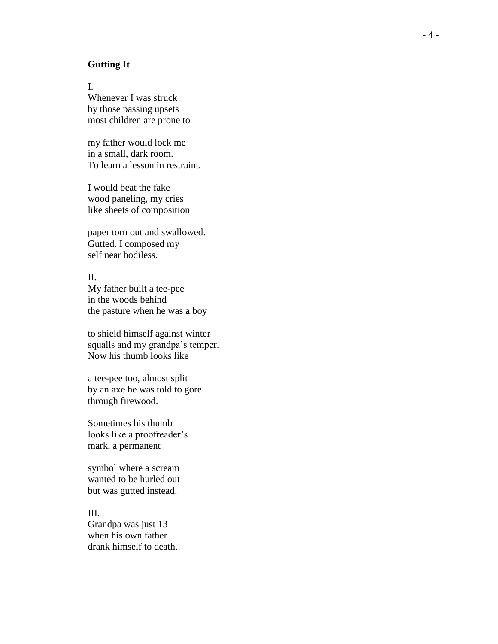#### **Gutting It**

I. Whenever I was struck by those passing upsets most children are prone to

my father would lock me in a small, dark room. To learn a lesson in restraint.

I would beat the fake wood paneling, my cries like sheets of composition

paper torn out and swallowed. Gutted. I composed my self near bodiless.

II. My father built a tee -pee in the woods behind the pasture when he was a boy

to shield himself against winter squalls and my grandpa's temper. Now his thumb looks like

a tee -pee too, almost split by an axe he was told to gore through firewood.

Sometimes his thumb looks like a proofreader's mark, a permanent

symbol where a scream wanted to be hurled out but was gutted instead.

III. Grandpa was just 13 when his own father drank himself to death.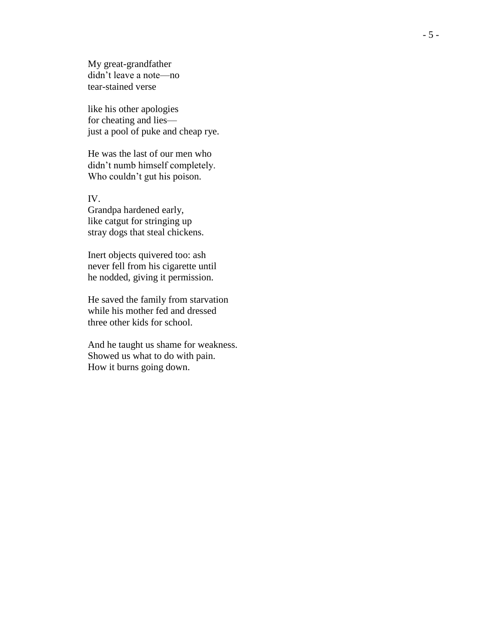My great -grandfather didn't leave a note —no tear -stained verse

like his other apologies for cheating and lies just a pool of puke and cheap rye.

He was the last of our men who didn't numb himself completely. Who couldn't gut his poison.

IV.

Grandpa hardened early, like catgut for stringing up stray dogs that steal chickens.

Inert objects quivered too: ash never fell from his cigarette until he nodded, giving it permission.

He saved the family from starvation while his mother fed and dressed three other kids for school.

And he taught us shame for weakness. Showed us what to do with pain. How it burns going down.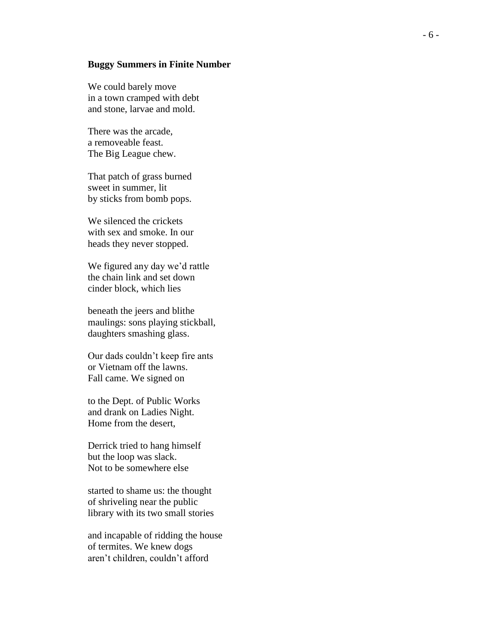#### **Buggy Summers in Finite Number**

We could barely move in a town cramped with debt and stone, larvae and mold.

There was the arcade, a removeable feast. The Big League chew.

That patch of grass burned sweet in summer, lit by sticks from bomb pops.

We silenced the crickets with sex and smoke. In our heads the y never stopped.

We figured any day we'd rattle the chain link and set down cinder block, which lies

beneath the jeers and blithe maulings: sons playing stickball, daughters smashing glass.

Our dads couldn't keep fire ants or Vietnam off the lawns. Fall came. We signed on

to the Dept. of Public Works and drank on Ladies Night. Home from the desert,

Derrick tried to hang himself but the loop was slack. Not to be somewhere else

started to shame us: the thought of shriveling near the public library with its two small stories

and incapable of ridding the house of termites. We knew dogs aren't children, couldn't afford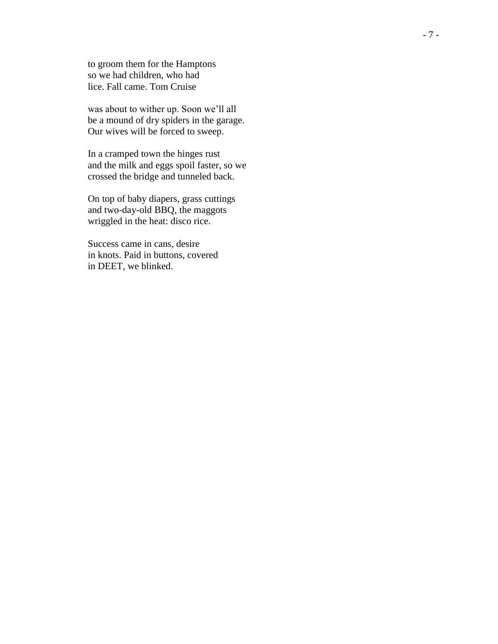to groom them for the Hamptons so we had children, who had lice. Fall came. Tom Cruise

was about to wither up. Soon we'll all be a mound of dry spiders in the garage . Our wives will be forced to sweep.

In a cramped town the hinges rust and the milk and eggs spoil faster, so we crossed the bridge and tunneled back.

On top of baby diapers, grass cuttings and two -day -old BBQ, the maggots wriggled in the heat: disco rice.

Success came in cans, desire in knots. Paid in buttons, covered in DEET, we blinked.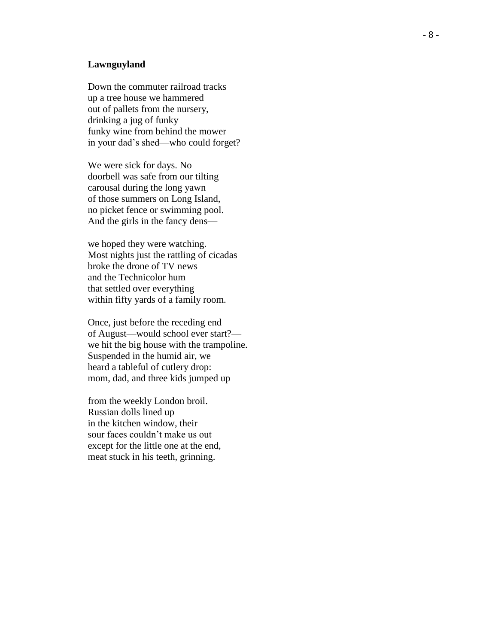#### **Lawnguyland**

Down the commuter railroad tracks up a tree house we hammered out of pallets from the nursery, drinking a jug of funky funky wine from behind the mower in your dad's shed—who could forget?

We were sick for days. No doorbell was safe from our tilting carousal during the long yawn of those summers on Long Island, no picket fence or swimming pool. And the girls in the fancy dens —

we hoped they were watching. Most nights just the rattling of cicadas broke the drone of TV news and the Technicolor hum that settled over everything within fifty yards of a family room.

Once, just before the receding end of August—would school ever start? we hit the big house with the trampoline. Suspended in the humid air, we heard a tableful of cutlery drop: mom, dad, and three kids jumped up

from the weekly London broil. Russian dolls lined up in the kitchen window, their sour faces couldn't make us out except for the little one at the end, meat stuck in his teeth, grinning.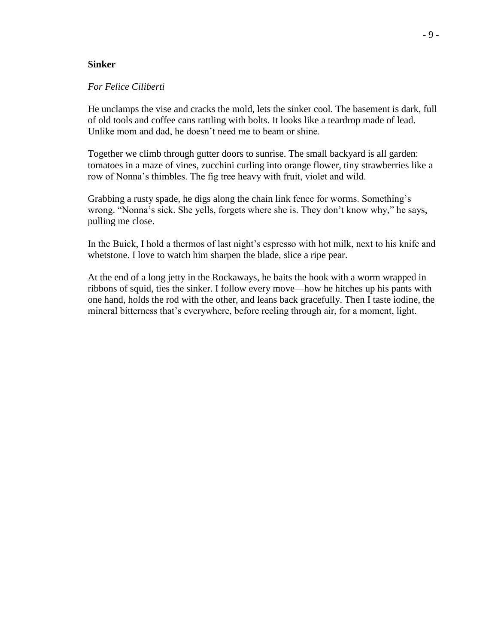#### **Sinker**

#### *For Felice Ciliberti*

He unclamps the vise and cracks the mold, lets the sinker cool. The basement is dark, full of old tools and coffee cans rattling with bolts. It looks like a teardrop made of lead. Unlike mom and dad, he doesn't need me to beam or shine.

Together we climb through gutter doors to sunrise. The small backyard is all garden: tomatoes in a maze of vines, zucchini curling into orange flower, tiny strawberries like a row of Nonna's thimbles. The fig tree heavy with fruit, violet and wild.

Grabbing a rusty spade, he digs along the chain link fence for worms. Something's wrong. "Nonna's sick. She yells, forgets where she is. They don't know why," he says, pulling me close.

In the Buick, I hold a thermos of last night's espresso with hot milk, next to his knife and whetstone. I love to watch him sharpen the blade, slice a ripe pear.

At the end of a long jetty in the Rockaways, he baits the hook with a worm wrapped in ribbons of squid, ties the sinker. I follow every move—how he hitches up his pants with one hand, holds the rod with the other, and leans back gracefully. Then I taste iodine, the mineral bitterness that's everywhere, before reeling through air, for a moment, light.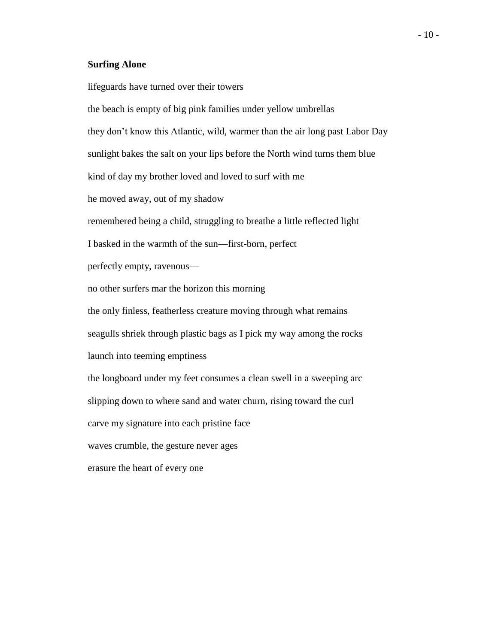#### **Surfing Alone**

lifeguards have turned over their towers the beach is empty of big pink families under yellow umbrellas they don't know this Atlantic, wild, warmer than the air long past Labor Day sunlight bakes the salt on your lips before the North wind turns them blue kind of day my brother loved and loved to surf with me he moved away, out of my shadow remembered being a child, struggling to breathe a little reflected light I basked in the warmth of the sun—first-born, perfect perfectly empty, ravenous no other surfers mar the horizon this morning the only finless, featherless creature moving through what remains seagulls shriek through plastic bags as I pick my way among the rocks launch into teeming emptiness the longboard under my feet consumes a clean swell in a sweeping arc slipping down to where sand and water churn, rising toward the curl carve my signature into each pristine face waves crumble, the gesture never ages erasure the heart of every one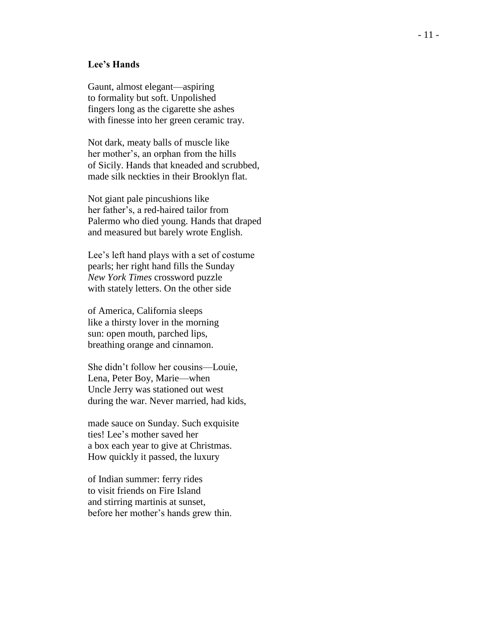#### **Lee's Hands**

Gaunt, almost elegant—aspiring to formality but soft. Unpolished fingers long as the cigarette she ashes with finesse into her green ceramic tray.

Not dark, meaty balls of muscle like her mother's, an orphan from the hills of Sicily. Hands that kneaded and scrubbed, made silk neckties in their Brooklyn flat.

Not giant pale pincushions like her father's, a red -haired tailor from Palermo who died young. Hands that draped and measured but barely wrote English.

Lee's left hand plays with a set of costume pearls; her right hand fills the Sunday *New York Times* crossword puzzle with stately letters. On the other side

of America, California sleeps like a thirsty lover in the morning sun: open mouth, parched lips, breathing orange and cinnamon.

She didn't follow her cousins —Louie, Lena, Peter Boy, Marie —when Uncle Jerry was stationed out west during the war. Never married, had kids,

made sauce on Sunday. Such exquisite ties! Lee's mother saved her a box each year to give at Christmas. How quickly it passed, the luxury

of Indian summer: ferry rides to visit friends on Fire Island and stirring martinis at sunset, before her mother's hands grew thin.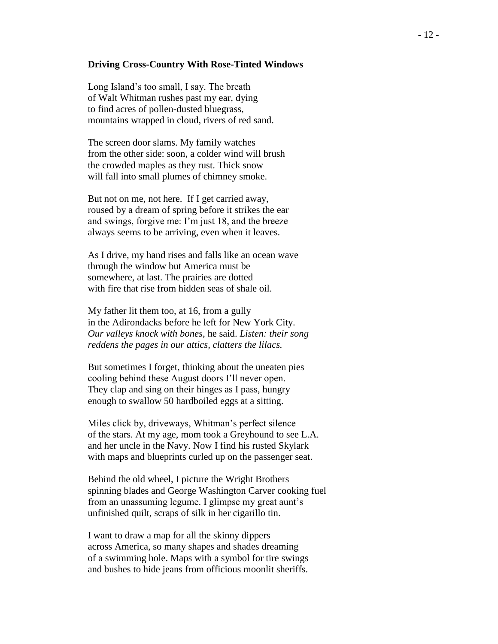#### **Driving Cross-Country With Rose-Tinted Windows**

Long Island's too small, I say. The breath of Walt Whitman rushes past my ear, dying to find acres of pollen-dusted bluegrass, mountains wrapped in cloud, rivers of red sand.

The screen door slams. My family watches from the other side: soon, a colder wind will brush the crowded maples as they rust. Thick snow will fall into small plumes of chimney smoke.

But not on me, not here. If I get carried away, roused by a dream of spring before it strikes the ear and swings, forgive me: I'm just 18, and the breeze always seems to be arriving, even when it leaves.

As I drive, my hand rises and falls like an ocean wave through the window but America must be somewhere, at last. The prairies are dotted with fire that rise from hidden seas of shale oil.

My father lit them too, at 16, from a gully in the Adirondacks before he left for New York City. *Our valleys knock with bones*, he said. *Listen: their song reddens the pages in our attics, clatters the lilacs.*

But sometimes I forget, thinking about the uneaten pies cooling behind these August doors I'll never open. They clap and sing on their hinges as I pass, hungry enough to swallow 50 hardboiled eggs at a sitting.

Miles click by, driveways, Whitman's perfect silence of the stars. At my age, mom took a Greyhound to see L.A. and her uncle in the Navy. Now I find his rusted Skylark with maps and blueprints curled up on the passenger seat.

Behind the old wheel, I picture the Wright Brothers spinning blades and George Washington Carver cooking fuel from an unassuming legume. I glimpse my great aunt's unfinished quilt, scraps of silk in her cigarillo tin.

I want to draw a map for all the skinny dippers across America, so many shapes and shades dreaming of a swimming hole. Maps with a symbol for tire swings and bushes to hide jeans from officious moonlit sheriffs.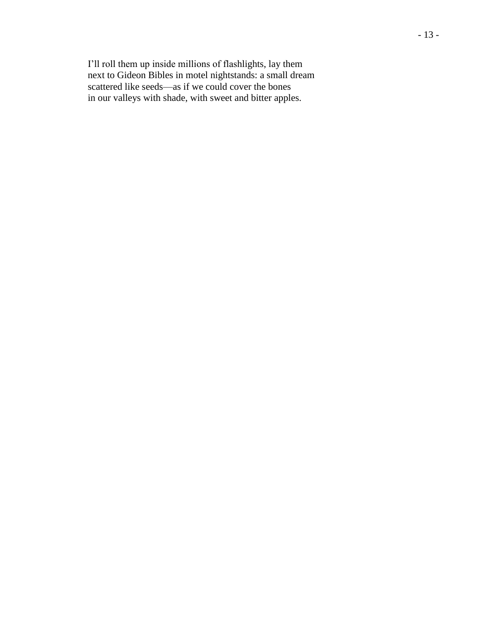I'll roll them up inside millions of flashlights, lay them next to Gideon Bibles in motel nightstands: a small dream scattered like seeds—as if we could cover the bones in our valleys with shade, with sweet and bitter apples.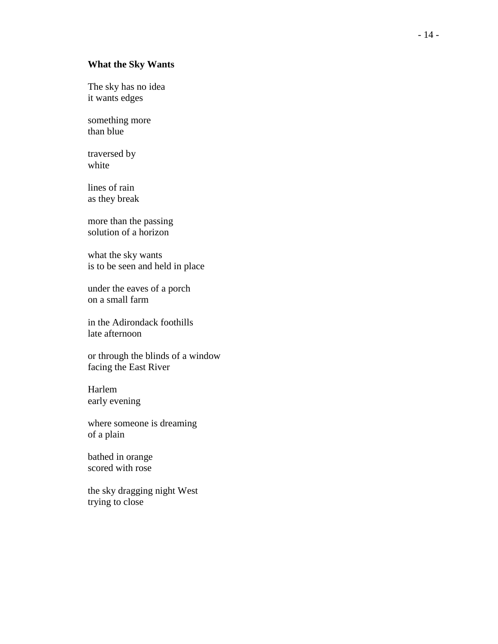### **What the Sky Wants**

The sky has no idea it wants edges

something more than blue

traversed by white

lines of rain as they break

more than the passing solution of a horizon

what the sky wants is to be seen and held in place

under the eaves of a porch on a small farm

in the Adirondack foothills late afternoon

or through the blinds of a window facing the East River

Harlem early evening

where someone is dreaming of a plain

bathed in orange scored with rose

the sky dragging night West trying to close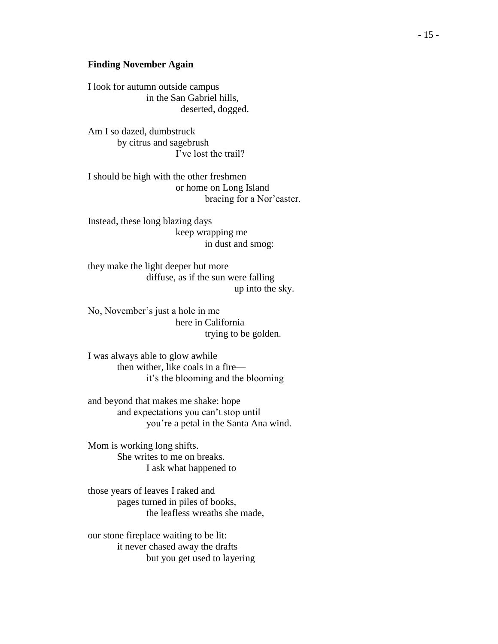#### **Finding November Again**

I look for autumn outside campus in the San Gabriel hills, deserted, dogged.

Am I so dazed, dumbstruck by citrus and sagebrush I've lost the trail?

I should be high with the other freshmen or home on Long Island bracing for a Nor'easter.

Instead, these long blazing days keep wrapping me in dust and smog:

they make the light deeper but more diffuse, as if the sun were falling up into the sky.

No, November's just a hole in me here in California trying to be golden.

I was always able to glow awhile then wither, like coals in a fire it's the blooming and the blooming

and beyond that makes me shake: hope and expectations you can't stop until you're a petal in the Santa Ana wind.

Mom is working long shifts. She writes to me on breaks. I ask what happened to

those years of leaves I raked and pages turned in piles of books, the leafless wreaths she made,

our stone fireplace waiting to be lit: it never chased away the drafts but you get used to layering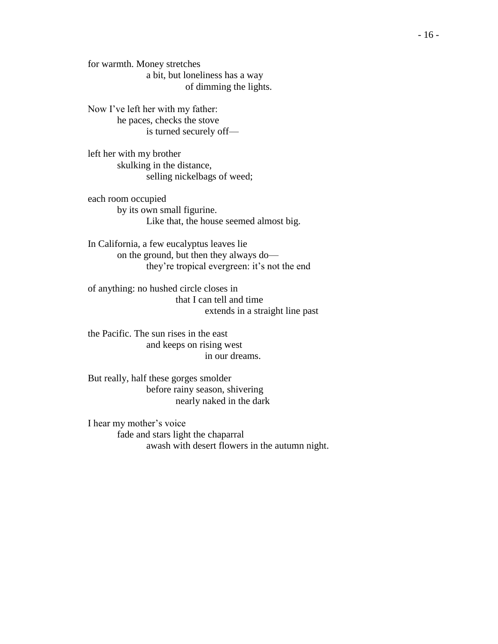for warmth. Money stretches a bit, but loneliness has a way of dimming the lights.

Now I've left her with my father: he paces, checks the stove is turned securely off—

left her with my brother skulking in the distance, selling nickelbags of weed;

each room occupied by its own small figurine. Like that, the house seemed almost big.

In California, a few eucalyptus leaves lie on the ground, but then they always do they're tropical evergreen: it's not the end

of anything: no hushed circle closes in that I can tell and time extends in a straight line past

the Pacific. The sun rises in the east and keeps on rising west in our dreams.

But really, half these gorges smolder before rainy season, shivering nearly naked in the dark

I hear my mother's voice fade and stars light the chaparral awash with desert flowers in the autumn night.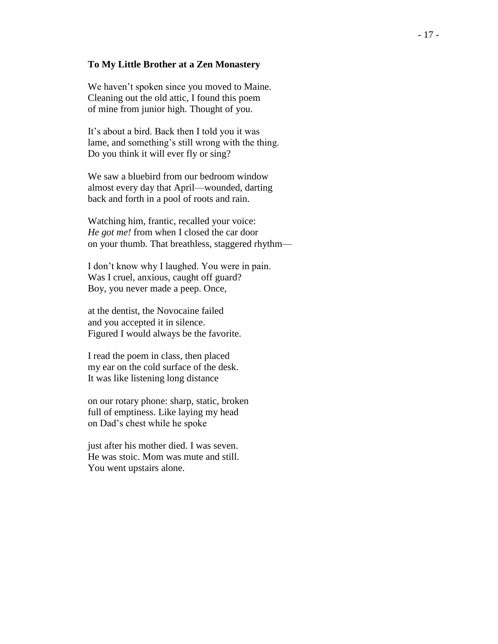#### **To My Little Brother at a Zen Monastery**

We haven't spoken since you moved to Maine. Cleaning out the old attic, I found this poem of mine from junior high. Thought of you.

It's about a bird. Back then I told you it was lame, and something's still wrong with the thing. Do you think it will ever fly or sing?

We saw a bluebird from our bedroom window almost every day that April—wounded, darting back and forth in a pool of roots and rain.

Watching him, frantic, recalled your voice: *He got me!* from when I closed the car door on your thumb. That breathless, staggered rhythm—

I don't know why I laughed. You were in pain. Was I cruel, anxious, caught off guard? Boy, you never made a peep. Once,

at the dentist, the Novocaine failed and you accepted it in silence. Figured I would always be the favorite.

I read the poem in class, then placed my ear on the cold surface of the desk. It was like listening long distance

on our rotary phone: sharp, static, broken full of emptiness. Like laying my head on Dad's chest while he spoke

just after his mother died. I was seven. He was stoic. Mom was mute and still. You went upstairs alone.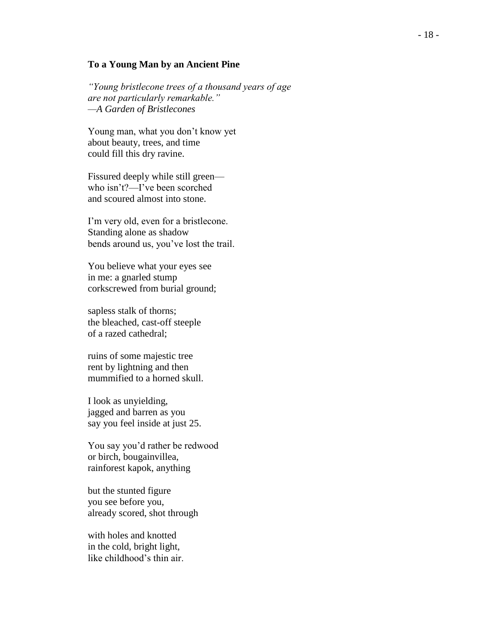#### **To a Young Man by an Ancient Pine**

*"Young bristlecone trees of a thousand years of age are not particularly remarkable." —A Garden of Bristlecones*

Young man, what you don't know yet about beauty, trees, and time could fill this dry ravine.

Fissured deeply while still green who isn't?—I've been scorched and scoured almost into stone.

I'm very old, even for a bristlecone. Standing alone as shadow bends around us, you've lost the trail.

You believe what your eyes see in me: a gnarled stump corkscrewed from burial ground;

sapless stalk of thorns; the bleached, cast-off steeple of a razed cathedral;

ruins of some majestic tree rent by lightning and then mummified to a horned skull.

I look as unyielding, jagged and barren as you say you feel inside at just 25.

You say you'd rather be redwood or birch, bougainvillea, rainforest kapok, anything

but the stunted figure you see before you, already scored, shot through

with holes and knotted in the cold, bright light, like childhood's thin air.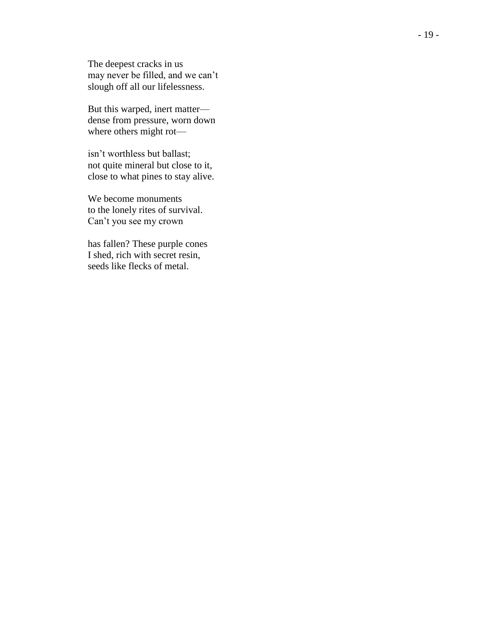The deepest cracks in us may never be filled, and we can't slough off all our lifelessness.

But this warped, inert matter dense from pressure, worn down where others might rot—

isn't worthless but ballast; not quite mineral but close to it, close to what pines to stay alive.

We become monuments to the lonely rites of survival. Can't you see my crown

has fallen? These purple cones I shed, rich with secret resin, seeds like flecks of metal.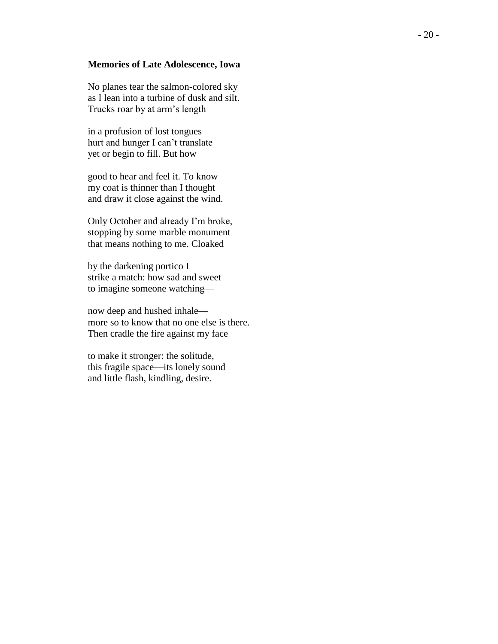#### **Memories of Late Adolescence, Iowa**

No planes tear the salmon -colored sky as I lean into a turbine of dusk and silt. Trucks roar by at arm's length

in a profusion of lost tongues hurt and hunger I can't translate yet or begin to fill. But how

good to hear and feel it. To know my coat is thinner than I thought and draw it close against the wind.

Only October and already I'm broke, stopping by some marble monument that means nothing to me. Cloaked

by the darkening portico I strike a match: how sad and sweet to imagine someone watching —

now deep and hushed inhale more so to know that no one else is there. Then cradle the fire against my face

to make it stronger: the solitude, this fragile space —its lonely sound and little flash, kindling, desire.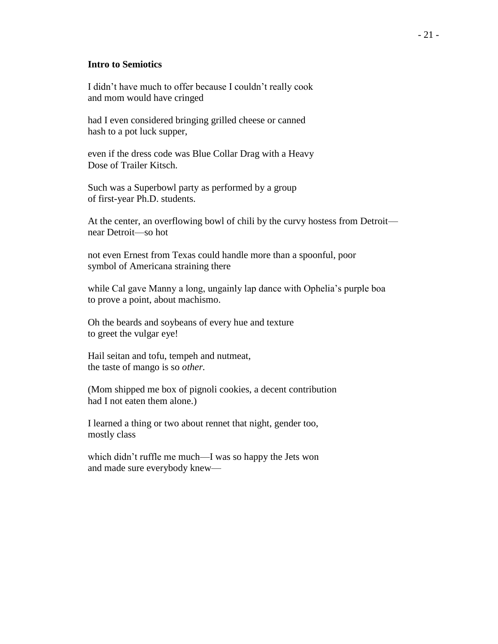#### **Intro to Semiotics**

I didn't have much to offer because I couldn't really cook and mom would have cringed

had I even considered bringing grilled cheese or canned hash to a pot luck supper,

even if the dress code was Blue Collar Drag with a Heavy Dose of Trailer Kitsch.

Such was a Superbowl party as performed by a group of first-year Ph.D. students.

At the center, an overflowing bowl of chili by the curvy hostess from Detroit near Detroit—so hot

not even Ernest from Texas could handle more than a spoonful, poor symbol of Americana straining there

while Cal gave Manny a long, ungainly lap dance with Ophelia's purple boa to prove a point, about machismo.

Oh the beards and soybeans of every hue and texture to greet the vulgar eye!

Hail seitan and tofu, tempeh and nutmeat, the taste of mango is so *other.*

(Mom shipped me box of pignoli cookies, a decent contribution had I not eaten them alone.)

I learned a thing or two about rennet that night, gender too, mostly class

which didn't ruffle me much—I was so happy the Jets won and made sure everybody knew—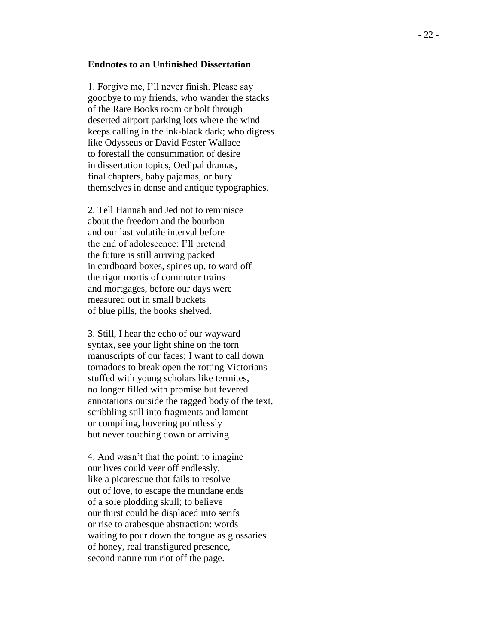#### **Endnotes to an Unfinished Dissertation**

1. Forgive me, I'll never finish. Please say goodbye to my friends, who wander the stacks of the Rare Books room or bolt through deserted airport parking lots where the wind keeps calling in the ink -black dark; who digress like Odysseus or David Foster Wallace to forestall the consummation of desire in dissertation topics, Oedipal dramas, final chapters, baby pajamas, or bury themselves in dense and antique typographies.

2. Tell Hannah and Jed not to reminisce about the freedom and the bourbon and our last volatile interval before the end of adolescence: I'll pretend the future is still arriving packed in cardboard boxes, spines up, to ward off the rigor mortis of commuter trains and mortgages, before our days were measured out in small buckets of blue pills, the books shelved.

3. Still, I hear the echo of our wayward syntax, see your light shine on the torn manuscripts of our faces; I want to call down tornadoes to break open the rotting Victorians stuffed with young scholars like termites, no longer filled with promise but fevered annotations outside the ragged body of the text, scribbling still into fragments and lament or compiling, hovering pointlessly but never touching down or arriving —

4. And wasn't that the point: to imagine our lives could veer off endlessly, like a picaresque that fails to resolve out of love, to escape the mundane ends of a sole plodding skull; to believe our thirst could be displaced into serifs or rise to arabesque abstraction: words waiting to pour down the tongue as glossaries of honey, real transfigured presence, second nature run riot off the page.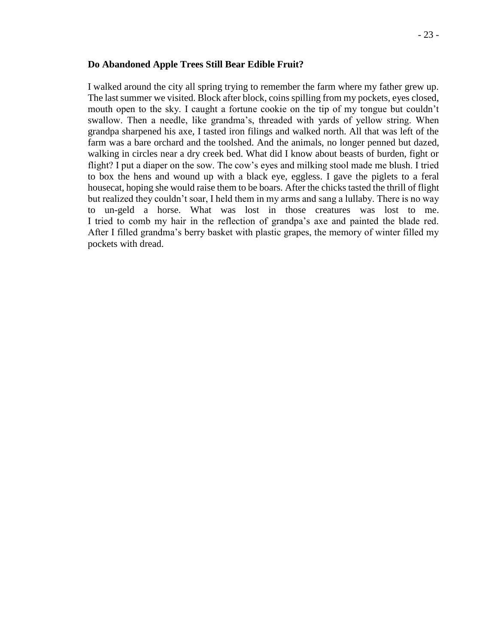#### **Do Abandoned Apple Trees Still Bear Edible Fruit?**

I walked around the city all spring trying to remember the farm where my father grew up. The last summer we visited. Block after block, coins spilling from my pockets, eyes closed, mouth open to the sky. I caught a fortune cookie on the tip of my tongue but couldn't swallow. Then a needle, like grandma's, threaded with yards of yellow string. When grandpa sharpened his axe, I tasted iron filings and walked north. All that was left of the farm was a bare orchard and the toolshed. And the animals, no longer penned but dazed, walking in circles near a dry creek bed. What did I know about beasts of burden, fight or flight? I put a diaper on the sow. The cow's eyes and milking stool made me blush. I tried to box the hens and wound up with a black eye, eggless. I gave the piglets to a feral housecat, hoping she would raise them to be boars. After the chicks tasted the thrill of flight but realized they couldn't soar, I held them in my arms and sang a lullaby. There is no way to un-geld a horse. What was lost in those creatures was lost to me. I tried to comb my hair in the reflection of grandpa's axe and painted the blade red. After I filled grandma's berry basket with plastic grapes, the memory of winter filled my pockets with dread.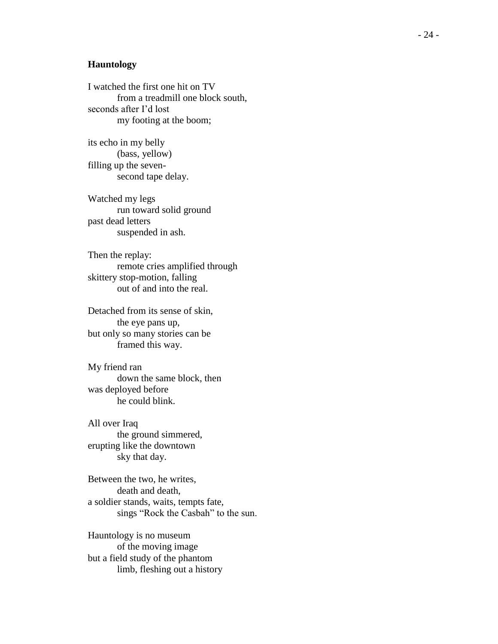#### **Hauntology**

I watched the first one hit on TV from a treadmill one block south, seconds after I'd lost my footing at the boom;

its echo in my belly (bass, yellow) filling up the seven second tape delay.

Watched my legs run toward solid ground past dead letters suspended in ash.

Then the replay: remote cries amplified through skittery stop -motion, falling out of and into the real.

Detached from its sense of skin, the eye pans up, but only so many stories can be framed this way.

My friend ran down the same block, then was deployed before he could blink.

All over Iraq the ground simmered, erupting like the downtown sky that day.

Between the two, he writes, death and death, a soldier stands, waits, tempts fate, sings "Rock the Casbah" to the sun.

Hauntology is no museum of the moving image but a field study of the phantom limb, fleshing out a history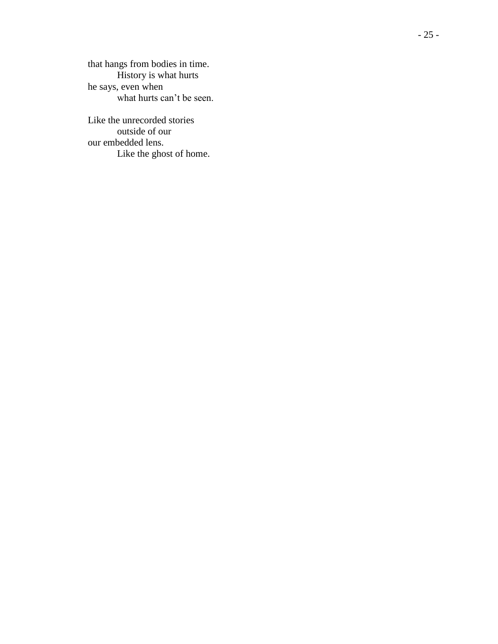that hangs from bodies in time. History is what hurts he says, even when what hurts can't be seen.

Like the unrecorded stories outside of our our embedded lens. Like the ghost of home.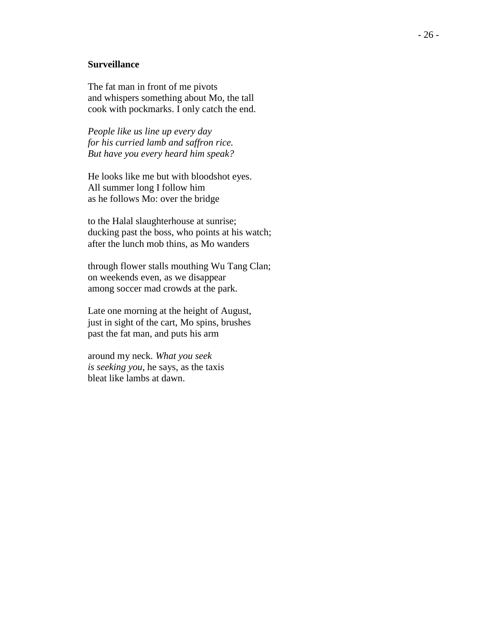### **Surveillance**

The fat man in front of me pivots and whispers something about Mo, the tall cook with pockmarks. I only catch the end.

*People like us line up every day for his curried lamb and saffron rice. But have you every heard him speak?*

He looks like me but with bloodshot eyes. All summer long I follow him as he follows Mo: over the bridge

to the Halal slaughterhouse at sunrise; ducking past the boss, who points at his watch; after the lunch mob thins, as Mo wanders

through flower stalls mouthing Wu Tang Clan; on weekends even, as we disappear among soccer mad crowds at the park.

Late one morning at the height of August, just in sight of the cart, Mo spins, brushes past the fat man, and puts his arm

around my neck. *What you seek is seeking you*, he says, as the taxis bleat like lambs at dawn.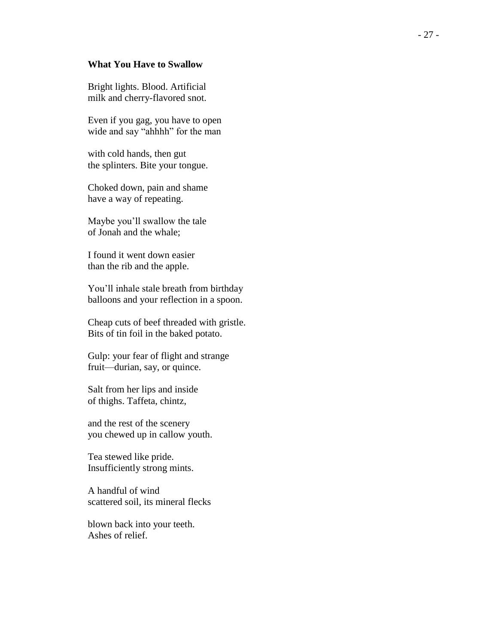#### **What You Have to Swallow**

Bright lights. Blood. Artificial milk and cherry -flavored snot.

Even if you gag, you have to open wide and say "ahhhh" for the man

with cold hands, then gut the splinters. Bite your tongue.

Choked down, pain and shame have a way of repeating.

Maybe you'll swallow the tale of Jonah and the whale;

I found it went down easier than the rib and the apple.

You'll inhale stale breath from birthday balloons and your reflection in a spoon.

Cheap cuts of beef threaded with gristle . Bits of tin foil in the baked potato.

Gulp: your fear of flight and strange fruit— durian, say, or quince.

Salt from her lips and inside of thighs. Taffeta, chintz,

and the rest of the scenery you chewed up in callow youth.

Tea stewed like pride. Insufficiently strong mints.

A handful of wind scattered soil, its mineral flecks

blown back into your teeth. Ashes of relief.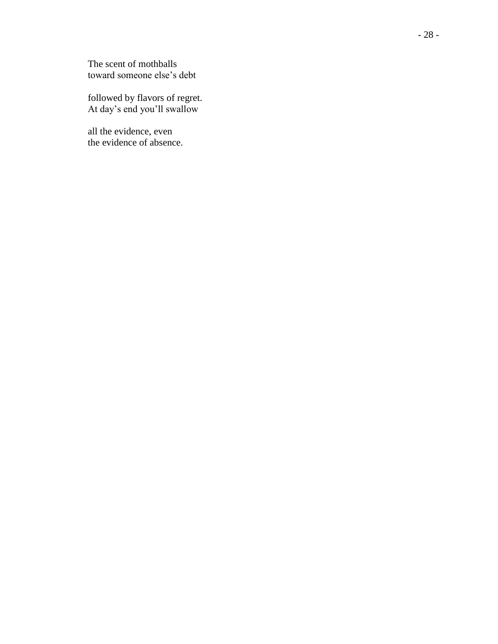The scent of mothballs toward someone else's debt

followed by flavors of regret. At day's end you'll swallow

all the evidence, even the evidence of absence.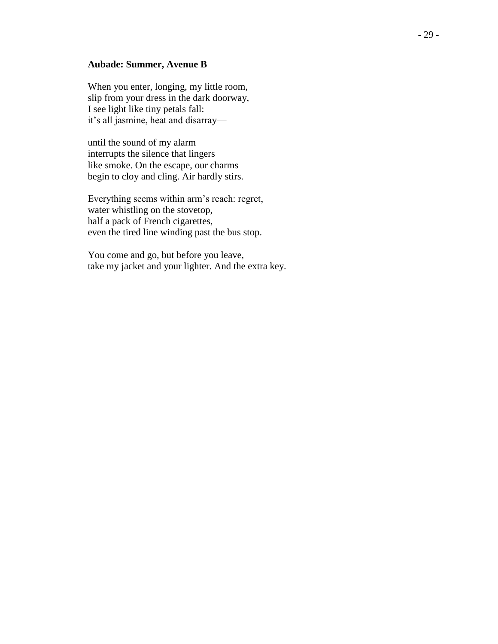#### **Aubade: Summer, Avenue B**

When you enter, longing, my little room, slip from your dress in the dark doorway, I see light like tiny petals fall: it's all jasmine, heat and disarray—

until the sound of my alarm interrupts the silence that lingers like smoke. On the escape, our charms begin to cloy and cling. Air hardly stirs.

Everything seems within arm's reach: regret, water whistling on the stovetop, half a pack of French cigarettes, even the tired line winding past the bus stop.

You come and go, but before you leave, take my jacket and your lighter. And the extra key.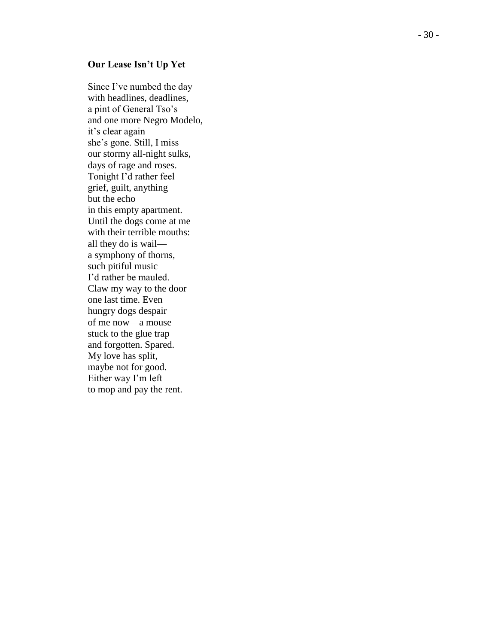#### **Our Lease Isn't Up Yet**

Since I've numbed the day with headlines, deadlines, a pint of General Tso's and one more Negro Modelo, it's clear again she's gone. Still, I miss our stormy all -night sulks, days of rage and roses. Tonight I'd rather feel grief, guilt, anything but the echo in this empty apartment. Until the dogs come at me with their terrible mouths: all they do is wail a symphony of thorns, such pitiful music I'd rather be mauled. Claw my way to the door one last time. Even hungry dogs despair of me now —a mouse stuck to the glue trap and forgotten. Spared. My love has split , maybe not for good. Either way I'm left to mop and pay the rent.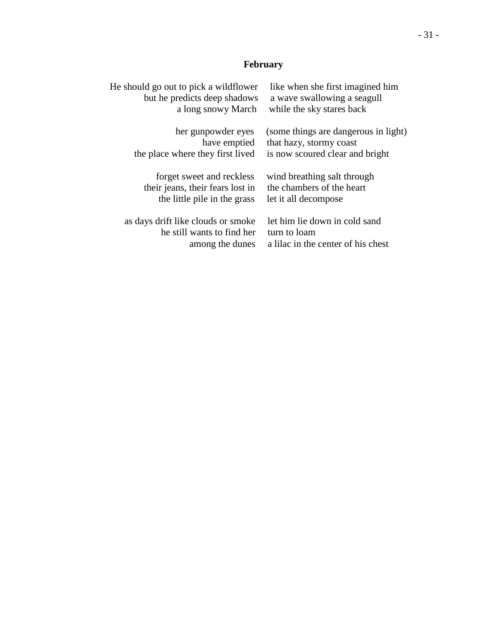# **February**

| He should go out to pick a wildflower | like when she first imagined him     |
|---------------------------------------|--------------------------------------|
| but he predicts deep shadows          | a wave swallowing a seagull          |
| a long snowy March                    | while the sky stares back            |
| her gunpowder eyes                    | (some things are dangerous in light) |
| have emptied                          | that hazy, stormy coast              |
| the place where they first lived      | is now scoured clear and bright      |
| forget sweet and reckless             | wind breathing salt through          |
| their jeans, their fears lost in      | the chambers of the heart            |
| the little pile in the grass          | let it all decompose                 |
| as days drift like clouds or smoke    | let him lie down in cold sand        |
| he still wants to find her            | turn to loam                         |
| among the dunes                       | a lilac in the center of his chest   |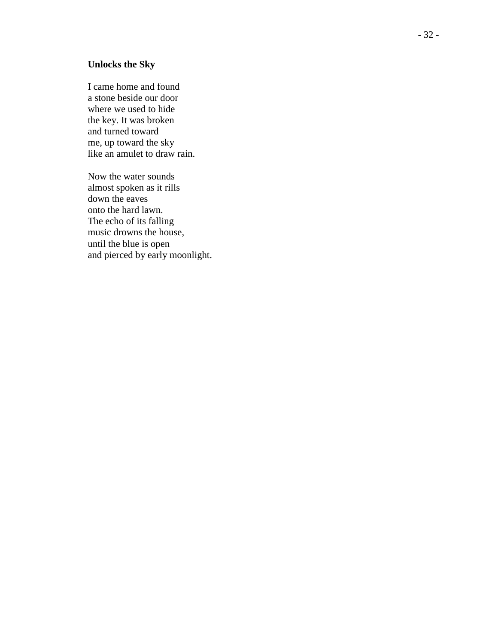### **Unlocks the Sky**

I came home and found a stone beside our door where we used to hide the key. It was broken and turned toward me, up toward the sky like an amulet to draw rain.

Now the water sounds almost spoken as it rills down the eaves onto the hard lawn. The echo of its falling music drowns the house , until the blue is open and pierced by early moonlight.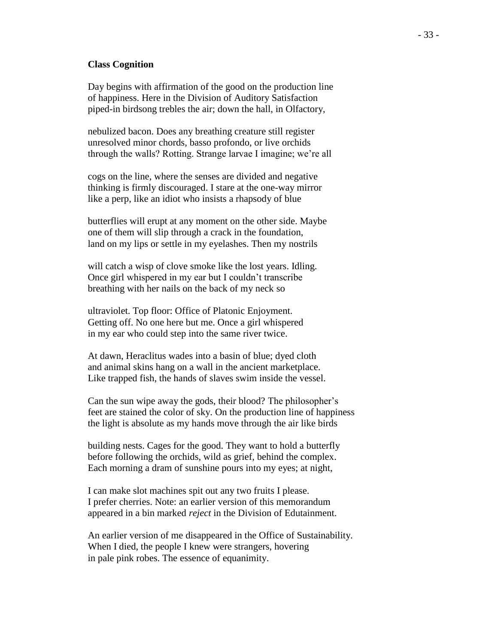#### **Class Cognition**

Day begins with affirmation of the good on the production line of happiness. Here in the Division of Auditory Satisfaction piped-in birdsong trebles the air; down the hall, in Olfactory,

nebulized bacon. Does any breathing creature still register unresolved minor chords, basso profondo, or live orchids through the walls? Rotting. Strange larvae I imagine; we're all

cogs on the line, where the senses are divided and negative thinking is firmly discouraged. I stare at the one-way mirror like a perp, like an idiot who insists a rhapsody of blue

butterflies will erupt at any moment on the other side. Maybe one of them will slip through a crack in the foundation, land on my lips or settle in my eyelashes. Then my nostrils

will catch a wisp of clove smoke like the lost years. Idling. Once girl whispered in my ear but I couldn't transcribe breathing with her nails on the back of my neck so

ultraviolet. Top floor: Office of Platonic Enjoyment. Getting off. No one here but me. Once a girl whispered in my ear who could step into the same river twice.

At dawn, Heraclitus wades into a basin of blue; dyed cloth and animal skins hang on a wall in the ancient marketplace. Like trapped fish, the hands of slaves swim inside the vessel.

Can the sun wipe away the gods, their blood? The philosopher's feet are stained the color of sky. On the production line of happiness the light is absolute as my hands move through the air like birds

building nests. Cages for the good. They want to hold a butterfly before following the orchids, wild as grief, behind the complex. Each morning a dram of sunshine pours into my eyes; at night,

I can make slot machines spit out any two fruits I please. I prefer cherries. Note: an earlier version of this memorandum appeared in a bin marked *reject* in the Division of Edutainment.

An earlier version of me disappeared in the Office of Sustainability. When I died, the people I knew were strangers, hovering in pale pink robes. The essence of equanimity.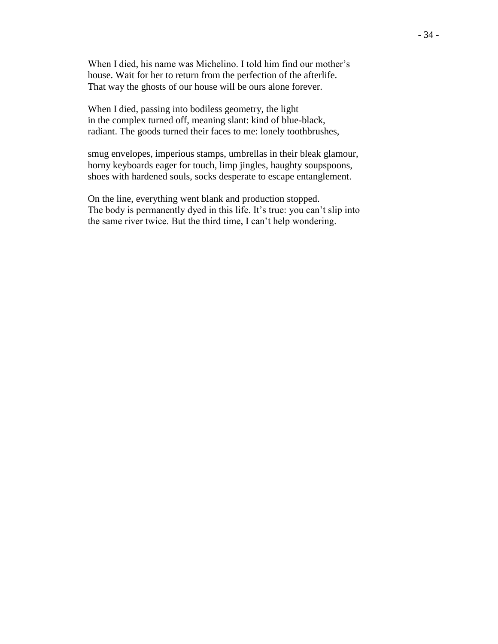When I died, his name was Michelino. I told him find our mother's house. Wait for her to return from the perfection of the afterlife. That way the ghosts of our house will be ours alone forever.

When I died, passing into bodiless geometry, the light in the complex turned off, meaning slant: kind of blue-black, radiant. The goods turned their faces to me: lonely toothbrushes,

smug envelopes, imperious stamps, umbrellas in their bleak glamour, horny keyboards eager for touch, limp jingles, haughty soupspoons, shoes with hardened souls, socks desperate to escape entanglement.

On the line, everything went blank and production stopped. The body is permanently dyed in this life. It's true: you can't slip into the same river twice. But the third time, I can't help wondering.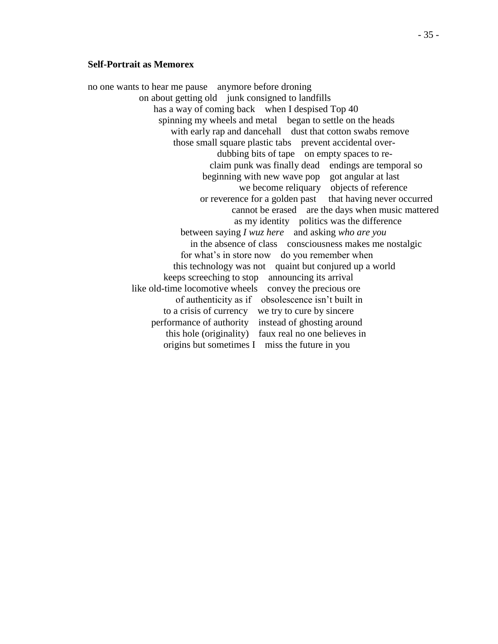#### **Self-Portrait as Memorex**

no one wants to hear me pause anymore before droning on about getting old junk consigned to landfills has a way of coming back when I despised Top 40 spinning my wheels and metal began to settle on the heads with early rap and dancehall dust that cotton swabs remove those small square plastic tabs prevent accidental over dubbing bits of tape on empty spaces to re claim punk was finally dead endings are temporal so beginning with new wave pop got angular at last we become reliquary objects of reference or reverence for a golden past that having never occurred cannot be erased are the days when music mattered as my identity politics was the difference between saying *I wuz here* and asking *who are you* in the absence of class consciousness makes me nostalgic for what's in store now do you remember when this technology was not quaint but conjured up a world keeps screeching to stop announcing its arrival like old-time locomotive wheels convey the precious ore of authenticity as if obsolescence isn't built in to a crisis of currency we try to cure by sincere performance of authority instead of ghosting around this hole (originality) faux real no one believes in origins but sometimes I miss the future in you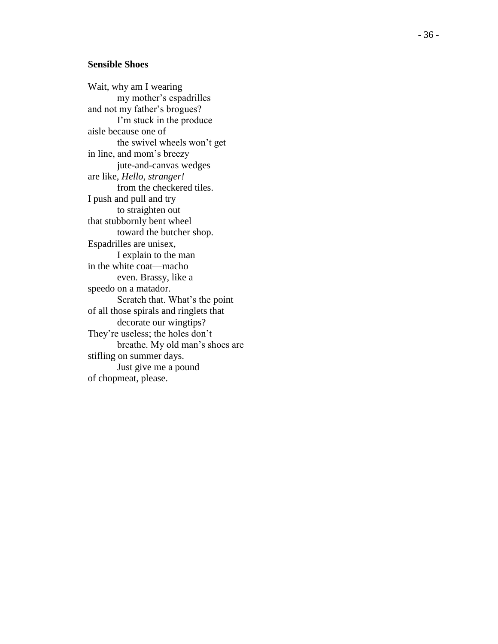#### **Sensible Shoes**

Wait, why am I wearing my mother's espadrilles and not my father's brogues? I'm stuck in the produce aisle because one of the swivel wheels won't get in line, and mom's breezy jute -and -canvas wedges are like, *Hello, stranger!* from the checkered tiles. I push and pull and try to straighten out that stubbornly bent wheel toward the butcher shop. Espadrilles are unisex, I explain to the man in the white coat—macho even. Brassy, like a speedo on a matador. Scratch that. What's the point of all those spirals and ringlets that decorate our wingtips? They're useless; the holes don't breathe. My old man's shoes are stifling on summer days. Just give me a pound of chopmeat, please.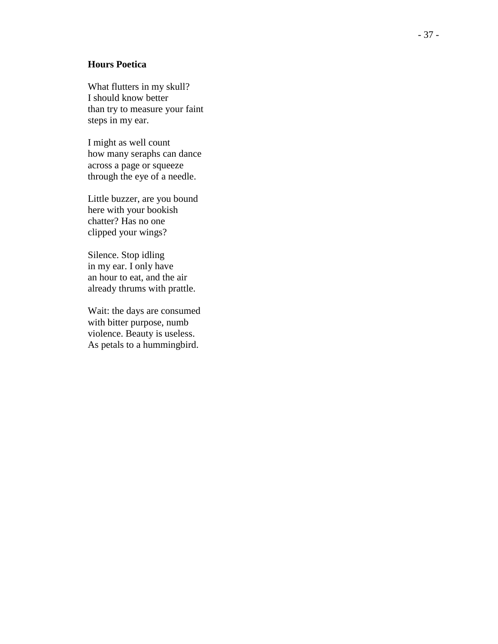#### **Hours Poetica**

What flutters in my skull? I should know better than try to measure your faint steps in my ear.

I might as well count how many seraphs can dance across a page or squeeze through the eye of a needle.

Little buzzer, are you bound here with your bookish chatter? Has no one clipped your wings?

Silence. Stop idling in my ear. I only have an hour to eat, and the air already thrums with prattle.

Wait: the days are consumed with bitter purpose, numb violence. Beauty is useless . As petals to a hummingbird.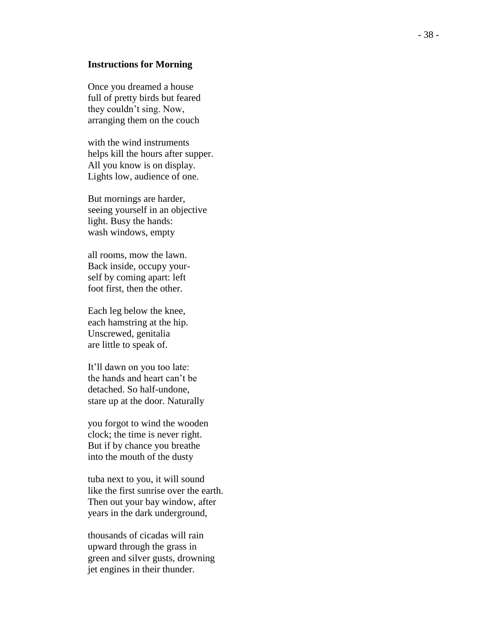#### **Instructions for Morning**

Once you dreamed a house full of pretty birds but feared they couldn't sing. Now, arranging them on the couch

with the wind instruments helps kill the hours after supper. All you know is on display. Lights low, audience of one.

But mornings are harder, seeing yourself in an objective light. Busy the hands: wash windows, empty

all rooms, mow the lawn. Back inside, occupy your self by coming apart: left foot first, then the other.

Each leg below the knee, each hamstring at the hip. Unscrewed, genitalia are little to speak of.

It'll dawn on you too late: the hands and heart can't be detached. So half-undone, stare up at the door. Naturally

you forgot to wind the wooden clock; the time is never right. But if by chance you breathe into the mouth of the dusty

tuba next to you, it will sound like the first sunrise over the earth. Then out your bay window, after years in the dark underground,

thousands of cicadas will rain upward through the grass in green and silver gusts, drowning jet engines in their thunder.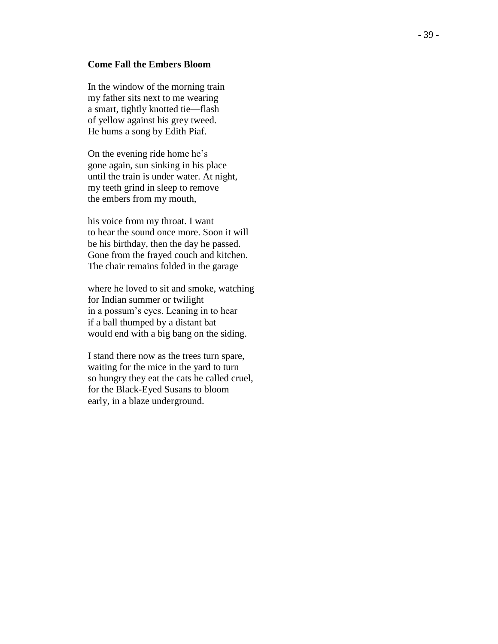#### **Come Fall the Embers Bloom**

In the window of the morning train my father sits next to me wearing a smart, tightly knotted tie —flash of yellow against his grey tweed. He hums a song by Edith Piaf.

On the evening ride home he's gone again, sun sinking in his place until the train is under water. At night, my teeth grind in sleep to remove the embers from my mouth,

his voice from my throat. I want to hear the sound once more. Soon it will be his birthday, then the day he passed. Gone from the frayed couch and kitchen. The chair remains folded in the garage

where he loved to sit and smoke, watching for Indian summer or twilight in a possum's eyes. Leaning in to hear if a ball thumped by a distant bat would end with a big bang on the siding.

I stand there now as the trees turn spare, waiting for the mice in the yard to turn so hungry they eat the cats he called cruel, for the Black -Eyed Susans to bloom early, in a blaze underground.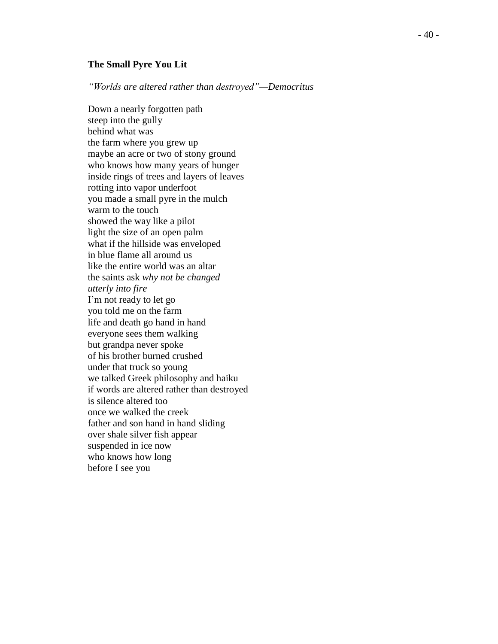#### **The Small Pyre You Lit**

*"Worlds are altered rather than destroyed" —Democritus*

Down a nearly forgotten path steep into the gully behind what was the farm where you grew up maybe a n acre or two of stony ground who knows how many years of hunger inside rings of trees and layers of leaves rotting into vapor underfoot you made a small pyre in the mulch warm to the touch showed the way like a pilot light the size of an open palm what if the hillside was enveloped in blue flame all around us like the entire world was an altar the saints ask *why not be changed utterly into fire* I'm not ready to let go you told me on the farm life and death go hand in hand everyone sees them walking but grandpa never spoke of his brother burned crushed under that truck so young we talked Greek philosophy and haiku if words are altered rather than destroyed is silence altered too once we walked the creek father and son hand in hand sliding over shale silver fish appear suspended in ice now who knows how long before I see you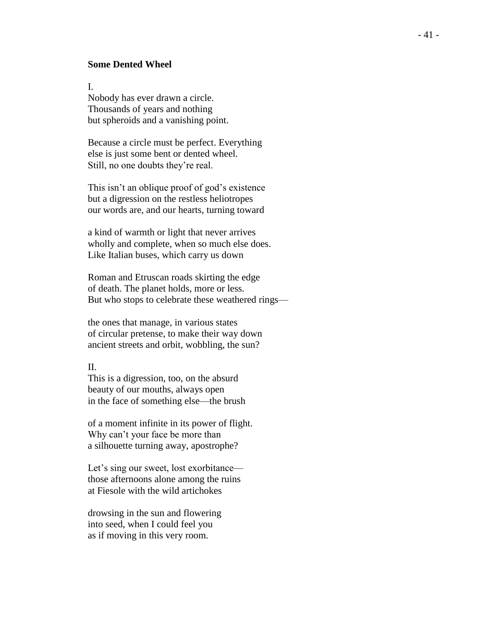#### **Some Dented Wheel**

I.

Nobody has ever drawn a circle. Thousands of years and nothing but spheroids and a vanishing point.

Because a circle must be perfect. Everything else is just some bent or dented wheel. Still, no one doubts they're real.

This isn't an oblique proof of god's existence but a digression on the restless heliotropes our words are, and our hearts, turning toward

a kind of warmth or light that never arrives wholly and complete, when so much else does. Like Italian buses, which carry us down

Roman and Etruscan roads skirting the edge of death. The planet holds, more or less. But who stops to celebrate these weathered rings—

the ones that manage, in various states of circular pretense, to make their way down ancient streets and orbit, wobbling, the sun?

#### II.

This is a digression, too, on the absurd beauty of our mouths, always open in the face of something else—the brush

of a moment infinite in its power of flight. Why can't your face be more than a silhouette turning away, apostrophe?

Let's sing our sweet, lost exorbitance those afternoons alone among the ruins at Fiesole with the wild artichokes

drowsing in the sun and flowering into seed, when I could feel you as if moving in this very room.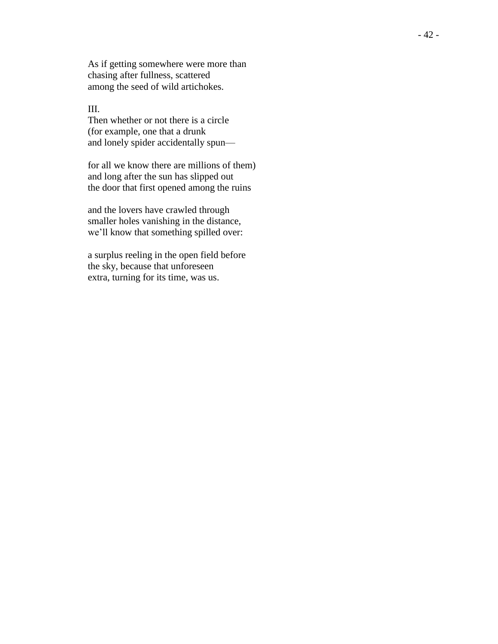As if getting somewhere were more than chasing after fullness, scattered among the seed of wild artichokes.

#### III.

Then whether or not there is a circle (for example, one that a drunk and lonely spider accidentally spun —

for all we know there are millions of them) and long after the sun has slipped out the door that first opened among the ruins

and the lovers have crawled through smaller holes vanishing in the distance, we'll know that something spilled over:

a surplus reeling in the open field before the sky, because that unforeseen extra, turning for its time, was us.